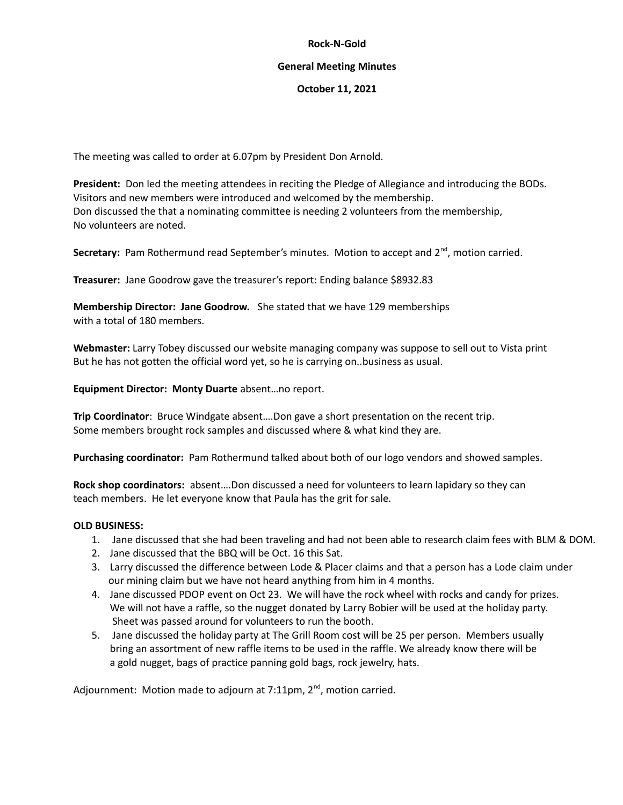## **Rock-N-Gold**

## **General Meeting Minutes**

## **October 11, 2021**

The meeting was called to order at 6.07pm by President Don Arnold.

**President:** Don led the meeting attendees in reciting the Pledge of Allegiance and introducing the BODs. Visitors and new members were introduced and welcomed by the membership. Don discussed the that a nominating committee is needing 2 volunteers from the membership, No volunteers are noted.

Secretary: Pam Rothermund read September's minutes. Motion to accept and 2<sup>nd</sup>, motion carried.

**Treasurer:** Jane Goodrow gave the treasurer's report: Ending balance \$8932.83

**Membership Director: Jane Goodrow.** She stated that we have 129 memberships with a total of 180 members.

**Webmaster:** Larry Tobey discussed our website managing company was suppose to sell out to Vista print But he has not gotten the official word yet, so he is carrying on..business as usual.

**Equipment Director: Monty Duarte** absent…no report.

**Trip Coordinator**: Bruce Windgate absent….Don gave a short presentation on the recent trip. Some members brought rock samples and discussed where & what kind they are.

**Purchasing coordinator:** Pam Rothermund talked about both of our logo vendors and showed samples.

**Rock shop coordinators:** absent….Don discussed a need for volunteers to learn lapidary so they can teach members. He let everyone know that Paula has the grit for sale.

## **OLD BUSINESS:**

- 1. Jane discussed that she had been traveling and had not been able to research claim fees with BLM & DOM.
- 2. Jane discussed that the BBQ will be Oct. 16 this Sat.
- 3. Larry discussed the difference between Lode & Placer claims and that a person has a Lode claim under our mining claim but we have not heard anything from him in 4 months.
- 4. Jane discussed PDOP event on Oct 23. We will have the rock wheel with rocks and candy for prizes. We will not have a raffle, so the nugget donated by Larry Bobier will be used at the holiday party. Sheet was passed around for volunteers to run the booth.
- 5. Jane discussed the holiday party at The Grill Room cost will be 25 per person. Members usually bring an assortment of new raffle items to be used in the raffle. We already know there will be a gold nugget, bags of practice panning gold bags, rock jewelry, hats.

Adjournment: Motion made to adjourn at 7:11pm, 2<sup>nd</sup>, motion carried.